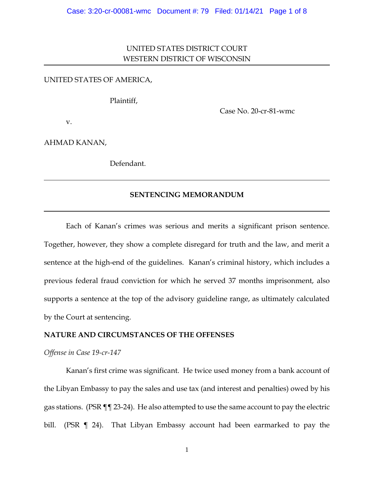# UNITED STATES DISTRICT COURT WESTERN DISTRICT OF WISCONSIN

## UNITED STATES OF AMERICA,

Plaintiff,

Case No. 20-cr-81-wmc

v.

AHMAD KANAN,

Defendant.

## **SENTENCING MEMORANDUM**

Each of Kanan's crimes was serious and merits a significant prison sentence. Together, however, they show a complete disregard for truth and the law, and merit a sentence at the high-end of the guidelines. Kanan's criminal history, which includes a previous federal fraud conviction for which he served 37 months imprisonment, also supports a sentence at the top of the advisory guideline range, as ultimately calculated by the Court at sentencing.

## **NATURE AND CIRCUMSTANCES OF THE OFFENSES**

*Offense in Case 19-cr-147*

Kanan's first crime was significant. He twice used money from a bank account of the Libyan Embassy to pay the sales and use tax (and interest and penalties) owed by his gas stations. (PSR ¶¶ 23-24). He also attempted to use the same account to pay the electric bill. (PSR ¶ 24). That Libyan Embassy account had been earmarked to pay the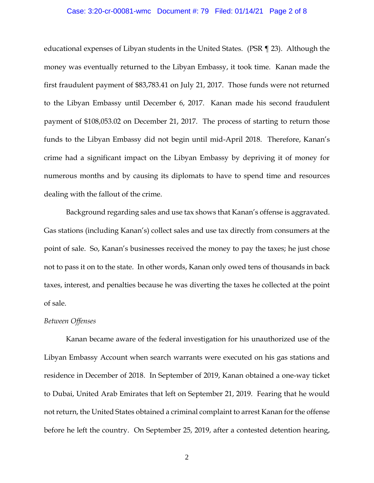#### Case: 3:20-cr-00081-wmc Document #: 79 Filed: 01/14/21 Page 2 of 8

educational expenses of Libyan students in the United States. (PSR ¶ 23). Although the money was eventually returned to the Libyan Embassy, it took time. Kanan made the first fraudulent payment of \$83,783.41 on July 21, 2017. Those funds were not returned to the Libyan Embassy until December 6, 2017. Kanan made his second fraudulent payment of \$108,053.02 on December 21, 2017. The process of starting to return those funds to the Libyan Embassy did not begin until mid-April 2018. Therefore, Kanan's crime had a significant impact on the Libyan Embassy by depriving it of money for numerous months and by causing its diplomats to have to spend time and resources dealing with the fallout of the crime.

Background regarding sales and use tax shows that Kanan's offense is aggravated. Gas stations (including Kanan's) collect sales and use tax directly from consumers at the point of sale. So, Kanan's businesses received the money to pay the taxes; he just chose not to pass it on to the state. In other words, Kanan only owed tens of thousands in back taxes, interest, and penalties because he was diverting the taxes he collected at the point of sale.

# *Between Offenses*

Kanan became aware of the federal investigation for his unauthorized use of the Libyan Embassy Account when search warrants were executed on his gas stations and residence in December of 2018. In September of 2019, Kanan obtained a one-way ticket to Dubai, United Arab Emirates that left on September 21, 2019. Fearing that he would not return, the United States obtained a criminal complaint to arrest Kanan for the offense before he left the country. On September 25, 2019, after a contested detention hearing,

2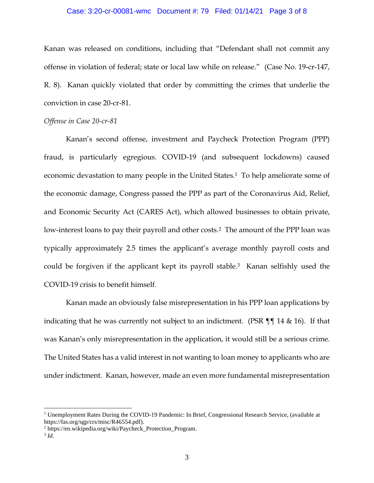#### Case: 3:20-cr-00081-wmc Document #: 79 Filed: 01/14/21 Page 3 of 8

Kanan was released on conditions, including that "Defendant shall not commit any offense in violation of federal; state or local law while on release." (Case No. 19-cr-147, R. 8). Kanan quickly violated that order by committing the crimes that underlie the conviction in case 20-cr-81.

#### *Offense in Case 20-cr-81*

Kanan's second offense, investment and Paycheck Protection Program (PPP) fraud, is particularly egregious. COVID-19 (and subsequent lockdowns) caused economic devastation to many people in the United States.<sup>1</sup> To help ameliorate some of the economic damage, Congress passed the PPP as part of the Coronavirus Aid, Relief, and Economic Security Act (CARES Act), which allowed businesses to obtain private, low-interest loans to pay their payroll and other costs.<sup>2</sup> The amount of the PPP loan was typically approximately 2.5 times the applicant's average monthly payroll costs and could be forgiven if the applicant kept its payroll stable.3 Kanan selfishly used the COVID-19 crisis to benefit himself.

Kanan made an obviously false misrepresentation in his PPP loan applications by indicating that he was currently not subject to an indictment. (PSR ¶¶ 14 & 16). If that was Kanan's only misrepresentation in the application, it would still be a serious crime. The United States has a valid interest in not wanting to loan money to applicants who are under indictment. Kanan, however, made an even more fundamental misrepresentation

<sup>&</sup>lt;sup>1</sup> Unemployment Rates During the COVID-19 Pandemic: In Brief, Congressional Research Service, (available at https://fas.org/sgp/crs/misc/R46554.pdf).

<sup>2</sup> https://en.wikipedia.org/wiki/Paycheck\_Protection\_Program.

<sup>3</sup> *Id.*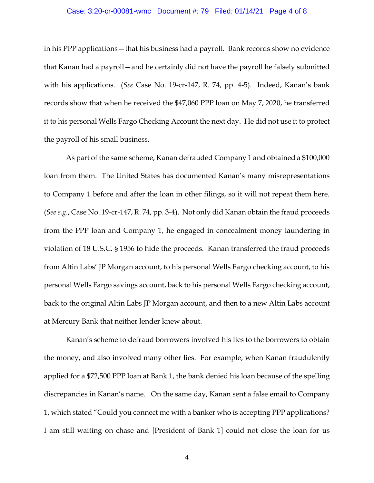#### Case: 3:20-cr-00081-wmc Document #: 79 Filed: 01/14/21 Page 4 of 8

in his PPP applications—that his business had a payroll. Bank records show no evidence that Kanan had a payroll—and he certainly did not have the payroll he falsely submitted with his applications. (*See* Case No. 19-cr-147, R. 74, pp. 4-5). Indeed, Kanan's bank records show that when he received the \$47,060 PPP loan on May 7, 2020, he transferred it to his personal Wells Fargo Checking Account the next day. He did not use it to protect the payroll of his small business.

As part of the same scheme, Kanan defrauded Company 1 and obtained a \$100,000 loan from them. The United States has documented Kanan's many misrepresentations to Company 1 before and after the loan in other filings, so it will not repeat them here. (*See e.g.*, Case No. 19-cr-147, R. 74, pp. 3-4). Not only did Kanan obtain the fraud proceeds from the PPP loan and Company 1, he engaged in concealment money laundering in violation of 18 U.S.C. § 1956 to hide the proceeds. Kanan transferred the fraud proceeds from Altin Labs' JP Morgan account, to his personal Wells Fargo checking account, to his personal Wells Fargo savings account, back to his personal Wells Fargo checking account, back to the original Altin Labs JP Morgan account, and then to a new Altin Labs account at Mercury Bank that neither lender knew about.

Kanan's scheme to defraud borrowers involved his lies to the borrowers to obtain the money, and also involved many other lies. For example, when Kanan fraudulently applied for a \$72,500 PPP loan at Bank 1, the bank denied his loan because of the spelling discrepancies in Kanan's name. On the same day, Kanan sent a false email to Company 1, which stated "Could you connect me with a banker who is accepting PPP applications? I am still waiting on chase and [President of Bank 1] could not close the loan for us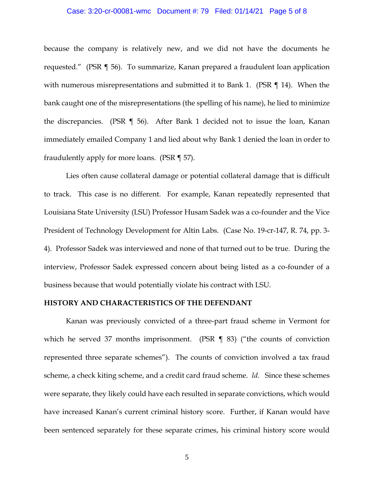#### Case: 3:20-cr-00081-wmc Document #: 79 Filed: 01/14/21 Page 5 of 8

because the company is relatively new, and we did not have the documents he requested." (PSR ¶ 56). To summarize, Kanan prepared a fraudulent loan application with numerous misrepresentations and submitted it to Bank 1. (PSR ¶ 14). When the bank caught one of the misrepresentations (the spelling of his name), he lied to minimize the discrepancies. (PSR ¶ 56). After Bank 1 decided not to issue the loan, Kanan immediately emailed Company 1 and lied about why Bank 1 denied the loan in order to fraudulently apply for more loans. (PSR ¶ 57).

Lies often cause collateral damage or potential collateral damage that is difficult to track. This case is no different. For example, Kanan repeatedly represented that Louisiana State University (LSU) Professor Husam Sadek was a co-founder and the Vice President of Technology Development for Altin Labs. (Case No. 19-cr-147, R. 74, pp. 3- 4). Professor Sadek was interviewed and none of that turned out to be true. During the interview, Professor Sadek expressed concern about being listed as a co-founder of a business because that would potentially violate his contract with LSU.

#### **HISTORY AND CHARACTERISTICS OF THE DEFENDANT**

Kanan was previously convicted of a three-part fraud scheme in Vermont for which he served 37 months imprisonment. (PSR ¶ 83) ("the counts of conviction represented three separate schemes"). The counts of conviction involved a tax fraud scheme, a check kiting scheme, and a credit card fraud scheme. *Id.* Since these schemes were separate, they likely could have each resulted in separate convictions, which would have increased Kanan's current criminal history score. Further, if Kanan would have been sentenced separately for these separate crimes, his criminal history score would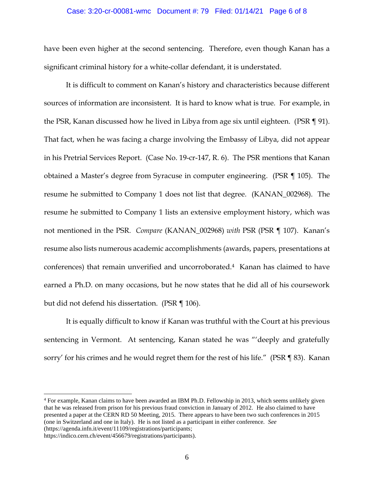#### Case: 3:20-cr-00081-wmc Document #: 79 Filed: 01/14/21 Page 6 of 8

have been even higher at the second sentencing. Therefore, even though Kanan has a significant criminal history for a white-collar defendant, it is understated.

It is difficult to comment on Kanan's history and characteristics because different sources of information are inconsistent. It is hard to know what is true. For example, in the PSR, Kanan discussed how he lived in Libya from age six until eighteen. (PSR ¶ 91). That fact, when he was facing a charge involving the Embassy of Libya, did not appear in his Pretrial Services Report. (Case No. 19-cr-147, R. 6). The PSR mentions that Kanan obtained a Master's degree from Syracuse in computer engineering. (PSR ¶ 105). The resume he submitted to Company 1 does not list that degree. (KANAN\_002968). The resume he submitted to Company 1 lists an extensive employment history, which was not mentioned in the PSR. *Compare* (KANAN\_002968) *with* PSR (PSR ¶ 107). Kanan's resume also lists numerous academic accomplishments (awards, papers, presentations at conferences) that remain unverified and uncorroborated.4 Kanan has claimed to have earned a Ph.D. on many occasions, but he now states that he did all of his coursework but did not defend his dissertation. (PSR ¶ 106).

It is equally difficult to know if Kanan was truthful with the Court at his previous sentencing in Vermont. At sentencing, Kanan stated he was "'deeply and gratefully sorry' for his crimes and he would regret them for the rest of his life." (PSR ¶ 83). Kanan

<sup>4</sup> For example, Kanan claims to have been awarded an IBM Ph.D. Fellowship in 2013, which seems unlikely given that he was released from prison for his previous fraud conviction in January of 2012. He also claimed to have presented a paper at the CERN RD 50 Meeting, 2015. There appears to have been two such conferences in 2015 (one in Switzerland and one in Italy). He is not listed as a participant in either conference. *See*  (https://agenda.infn.it/event/11109/registrations/participants;

https://indico.cern.ch/event/456679/registrations/participants).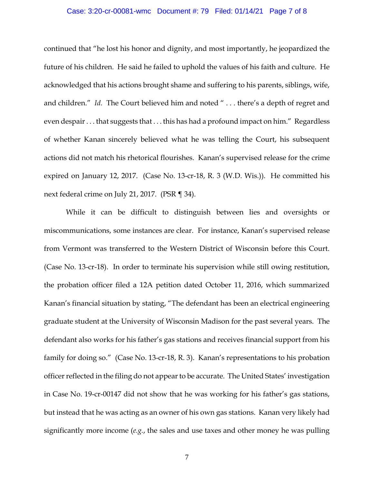#### Case: 3:20-cr-00081-wmc Document #: 79 Filed: 01/14/21 Page 7 of 8

continued that "he lost his honor and dignity, and most importantly, he jeopardized the future of his children. He said he failed to uphold the values of his faith and culture. He acknowledged that his actions brought shame and suffering to his parents, siblings, wife, and children." *Id.* The Court believed him and noted " . . . there's a depth of regret and even despair . . . that suggests that . . . this has had a profound impact on him." Regardless of whether Kanan sincerely believed what he was telling the Court, his subsequent actions did not match his rhetorical flourishes. Kanan's supervised release for the crime expired on January 12, 2017. (Case No. 13-cr-18, R. 3 (W.D. Wis.)). He committed his next federal crime on July 21, 2017. (PSR ¶ 34).

While it can be difficult to distinguish between lies and oversights or miscommunications, some instances are clear. For instance, Kanan's supervised release from Vermont was transferred to the Western District of Wisconsin before this Court. (Case No. 13-cr-18). In order to terminate his supervision while still owing restitution, the probation officer filed a 12A petition dated October 11, 2016, which summarized Kanan's financial situation by stating, "The defendant has been an electrical engineering graduate student at the University of Wisconsin Madison for the past several years. The defendant also works for his father's gas stations and receives financial support from his family for doing so." (Case No. 13-cr-18, R. 3). Kanan's representations to his probation officer reflected in the filing do not appear to be accurate. The United States' investigation in Case No. 19-cr-00147 did not show that he was working for his father's gas stations, but instead that he was acting as an owner of his own gas stations. Kanan very likely had significantly more income (*e.g.*, the sales and use taxes and other money he was pulling